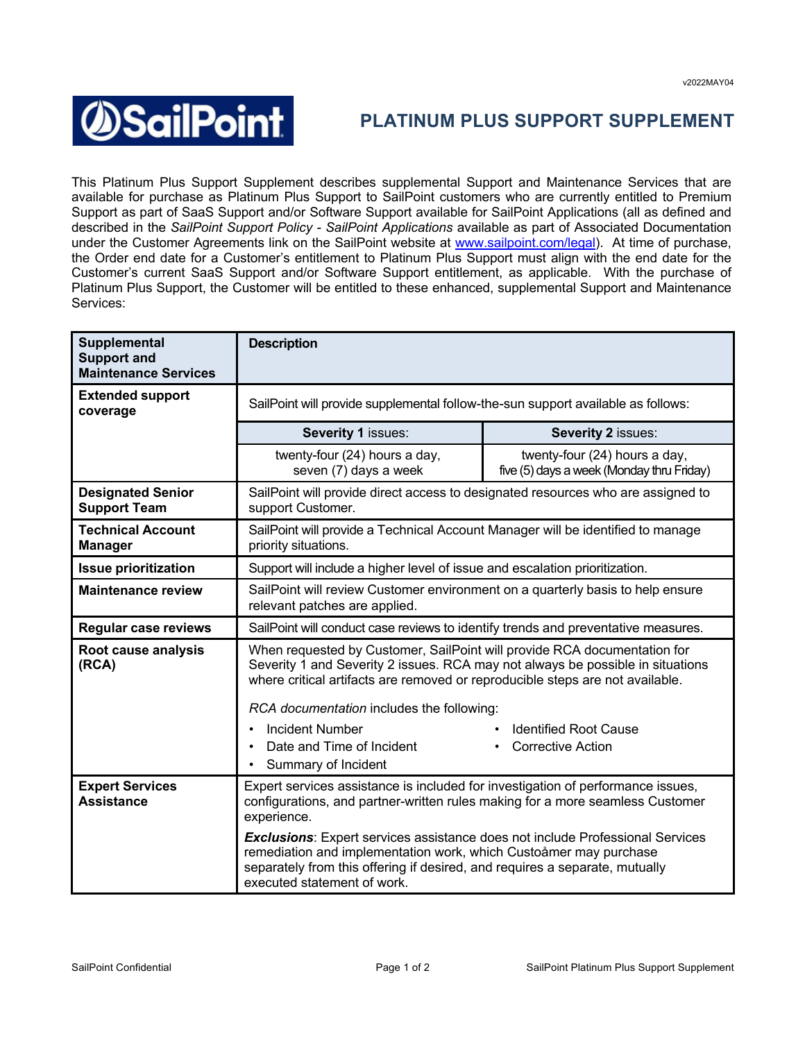## **SailPoint**

## **PLATINUM PLUS SUPPORT SUPPLEMENT**

This Platinum Plus Support Supplement describes supplemental Support and Maintenance Services that are available for purchase as Platinum Plus Support to SailPoint customers who are currently entitled to Premium Support as part of SaaS Support and/or Software Support available for SailPoint Applications (all as defined and described in the *SailPoint Support Policy - SailPoint Applications* available as part of Associated Documentation under the Customer Agreements link on the SailPoint website at www.sailpoint.com/legal). At time of purchase, the Order end date for a Customer's entitlement to Platinum Plus Support must align with the end date for the Customer's current SaaS Support and/or Software Support entitlement, as applicable. With the purchase of Platinum Plus Support, the Customer will be entitled to these enhanced, supplemental Support and Maintenance Services:

| Supplemental<br><b>Support and</b><br><b>Maintenance Services</b> | <b>Description</b>                                                                                                                                                                                                                                                      |                                                                            |  |
|-------------------------------------------------------------------|-------------------------------------------------------------------------------------------------------------------------------------------------------------------------------------------------------------------------------------------------------------------------|----------------------------------------------------------------------------|--|
| <b>Extended support</b><br>coverage                               | SailPoint will provide supplemental follow-the-sun support available as follows:                                                                                                                                                                                        |                                                                            |  |
|                                                                   | Severity 1 issues:                                                                                                                                                                                                                                                      | Severity 2 issues:                                                         |  |
|                                                                   | twenty-four (24) hours a day,<br>seven (7) days a week                                                                                                                                                                                                                  | twenty-four (24) hours a day,<br>five (5) days a week (Monday thru Friday) |  |
| <b>Designated Senior</b><br><b>Support Team</b>                   | SailPoint will provide direct access to designated resources who are assigned to<br>support Customer.                                                                                                                                                                   |                                                                            |  |
| <b>Technical Account</b><br><b>Manager</b>                        | SailPoint will provide a Technical Account Manager will be identified to manage<br>priority situations.                                                                                                                                                                 |                                                                            |  |
| <b>Issue prioritization</b>                                       | Support will include a higher level of issue and escalation prioritization.                                                                                                                                                                                             |                                                                            |  |
| <b>Maintenance review</b>                                         | SailPoint will review Customer environment on a quarterly basis to help ensure<br>relevant patches are applied.                                                                                                                                                         |                                                                            |  |
| <b>Regular case reviews</b>                                       | SailPoint will conduct case reviews to identify trends and preventative measures.                                                                                                                                                                                       |                                                                            |  |
| Root cause analysis<br>(RCA)                                      | When requested by Customer, SailPoint will provide RCA documentation for<br>Severity 1 and Severity 2 issues. RCA may not always be possible in situations<br>where critical artifacts are removed or reproducible steps are not available.                             |                                                                            |  |
|                                                                   | RCA documentation includes the following:                                                                                                                                                                                                                               |                                                                            |  |
|                                                                   | <b>Incident Number</b><br>$\bullet$                                                                                                                                                                                                                                     | <b>Identified Root Cause</b>                                               |  |
|                                                                   | Date and Time of Incident<br>$\bullet$<br>Summary of Incident                                                                                                                                                                                                           | <b>Corrective Action</b>                                                   |  |
| <b>Expert Services</b><br><b>Assistance</b>                       | Expert services assistance is included for investigation of performance issues,<br>configurations, and partner-written rules making for a more seamless Customer<br>experience.                                                                                         |                                                                            |  |
|                                                                   | <b>Exclusions:</b> Expert services assistance does not include Professional Services<br>remediation and implementation work, which Custoåmer may purchase<br>separately from this offering if desired, and requires a separate, mutually<br>executed statement of work. |                                                                            |  |